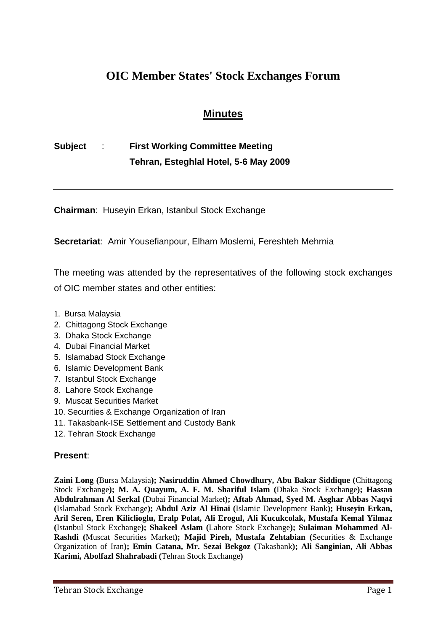# **OIC Member States' Stock Exchanges Forum**

## **Minutes**

# **Subject** : **First Working Committee Meeting Tehran, Esteghlal Hotel, 5-6 May 2009**

**Chairman**: Huseyin Erkan, Istanbul Stock Exchange

**Secretariat**: Amir Yousefianpour, Elham Moslemi, Fereshteh Mehrnia

The meeting was attended by the representatives of the following stock exchanges of OIC member states and other entities:

- 1. Bursa Malaysia
- 2. Chittagong Stock Exchange
- 3. Dhaka Stock Exchange
- 4. Dubai Financial Market
- 5. Islamabad Stock Exchange
- 6. Islamic Development Bank
- 7. Istanbul Stock Exchange
- 8. Lahore Stock Exchange
- 9. Muscat Securities Market
- 10. Securities & Exchange Organization of Iran
- 11. Takasbank-ISE Settlement and Custody Bank
- 12. Tehran Stock Exchange

### **Present**:

**Zaini Long (**Bursa Malaysia**); Nasiruddin Ahmed Chowdhury, Abu Bakar Siddique (**Chittagong Stock Exchange**); M. A. Quayum, A. F. M. Shariful Islam (**Dhaka Stock Exchange**); Hassan Abdulrahman Al Serkal (**Dubai Financial Market**); Aftab Ahmad, Syed M. Asghar Abbas Naqvi (**Islamabad Stock Exchange**); Abdul Aziz Al Hinai (**Islamic Development Bank**); Huseyin Erkan, Aril Seren, Eren Kiliclioglu, Eralp Polat, Ali Erogul, Ali Kucukcolak, Mustafa Kemal Yilmaz (**Istanbul Stock Exchange**); Shakeel Aslam (**Lahore Stock Exchange**); Sulaiman Mohammed Al-Rashdi (**Muscat Securities Market**); Majid Pireh, Mustafa Zehtabian (**Securities & Exchange Organization of Iran**); Emin Catana, Mr. Sezai Bekgoz (**Takasbank**); Ali Sanginian, Ali Abbas Karimi, Abolfazl Shahrabadi (**Tehran Stock Exchange**)**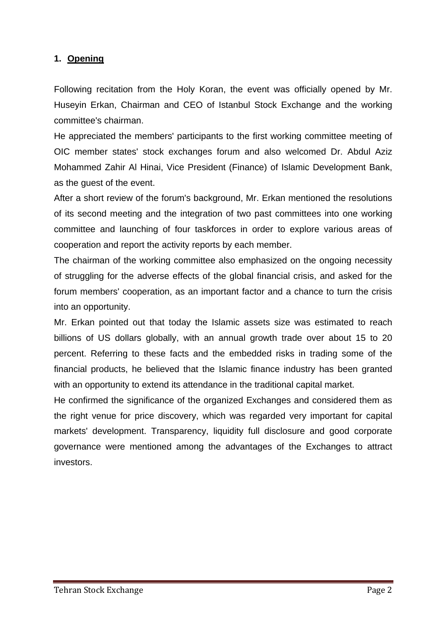### **1. Opening**

Following recitation from the Holy Koran, the event was officially opened by Mr. Huseyin Erkan, Chairman and CEO of Istanbul Stock Exchange and the working committee's chairman.

He appreciated the members' participants to the first working committee meeting of OIC member states' stock exchanges forum and also welcomed Dr. Abdul Aziz Mohammed Zahir Al Hinai, Vice President (Finance) of Islamic Development Bank, as the guest of the event.

After a short review of the forum's background, Mr. Erkan mentioned the resolutions of its second meeting and the integration of two past committees into one working committee and launching of four taskforces in order to explore various areas of cooperation and report the activity reports by each member.

The chairman of the working committee also emphasized on the ongoing necessity of struggling for the adverse effects of the global financial crisis, and asked for the forum members' cooperation, as an important factor and a chance to turn the crisis into an opportunity.

Mr. Erkan pointed out that today the Islamic assets size was estimated to reach billions of US dollars globally, with an annual growth trade over about 15 to 20 percent. Referring to these facts and the embedded risks in trading some of the financial products, he believed that the Islamic finance industry has been granted with an opportunity to extend its attendance in the traditional capital market.

He confirmed the significance of the organized Exchanges and considered them as the right venue for price discovery, which was regarded very important for capital markets' development. Transparency, liquidity full disclosure and good corporate governance were mentioned among the advantages of the Exchanges to attract investors.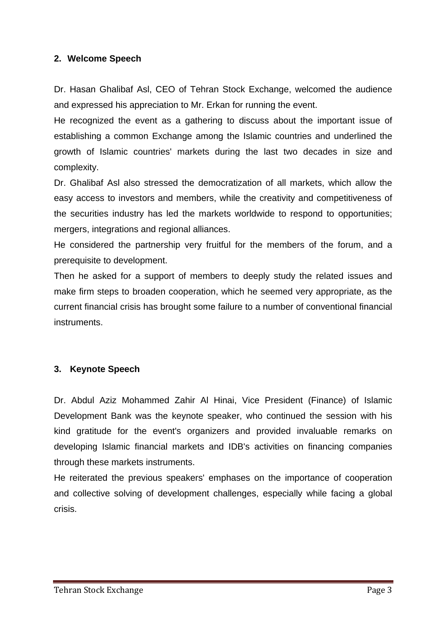#### **2. Welcome Speech**

Dr. Hasan Ghalibaf Asl, CEO of Tehran Stock Exchange, welcomed the audience and expressed his appreciation to Mr. Erkan for running the event.

He recognized the event as a gathering to discuss about the important issue of establishing a common Exchange among the Islamic countries and underlined the growth of Islamic countries' markets during the last two decades in size and complexity.

Dr. Ghalibaf Asl also stressed the democratization of all markets, which allow the easy access to investors and members, while the creativity and competitiveness of the securities industry has led the markets worldwide to respond to opportunities; mergers, integrations and regional alliances.

He considered the partnership very fruitful for the members of the forum, and a prerequisite to development.

Then he asked for a support of members to deeply study the related issues and make firm steps to broaden cooperation, which he seemed very appropriate, as the current financial crisis has brought some failure to a number of conventional financial instruments.

### **3. Keynote Speech**

Dr. Abdul Aziz Mohammed Zahir Al Hinai, Vice President (Finance) of Islamic Development Bank was the keynote speaker, who continued the session with his kind gratitude for the event's organizers and provided invaluable remarks on developing Islamic financial markets and IDB's activities on financing companies through these markets instruments.

He reiterated the previous speakers' emphases on the importance of cooperation and collective solving of development challenges, especially while facing a global crisis.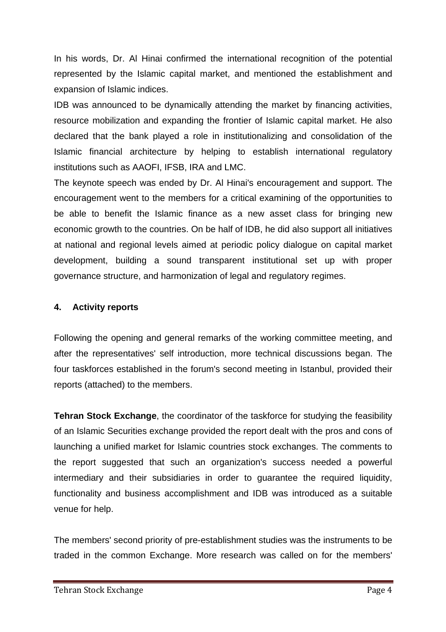In his words, Dr. Al Hinai confirmed the international recognition of the potential represented by the Islamic capital market, and mentioned the establishment and expansion of Islamic indices.

IDB was announced to be dynamically attending the market by financing activities, resource mobilization and expanding the frontier of Islamic capital market. He also declared that the bank played a role in institutionalizing and consolidation of the Islamic financial architecture by helping to establish international regulatory institutions such as AAOFI, IFSB, IRA and LMC.

The keynote speech was ended by Dr. Al Hinai's encouragement and support. The encouragement went to the members for a critical examining of the opportunities to be able to benefit the Islamic finance as a new asset class for bringing new economic growth to the countries. On be half of IDB, he did also support all initiatives at national and regional levels aimed at periodic policy dialogue on capital market development, building a sound transparent institutional set up with proper governance structure, and harmonization of legal and regulatory regimes.

### **4. Activity reports**

Following the opening and general remarks of the working committee meeting, and after the representatives' self introduction, more technical discussions began. The four taskforces established in the forum's second meeting in Istanbul, provided their reports (attached) to the members.

**Tehran Stock Exchange**, the coordinator of the taskforce for studying the feasibility of an Islamic Securities exchange provided the report dealt with the pros and cons of launching a unified market for Islamic countries stock exchanges. The comments to the report suggested that such an organization's success needed a powerful intermediary and their subsidiaries in order to guarantee the required liquidity, functionality and business accomplishment and IDB was introduced as a suitable venue for help.

The members' second priority of pre-establishment studies was the instruments to be traded in the common Exchange. More research was called on for the members'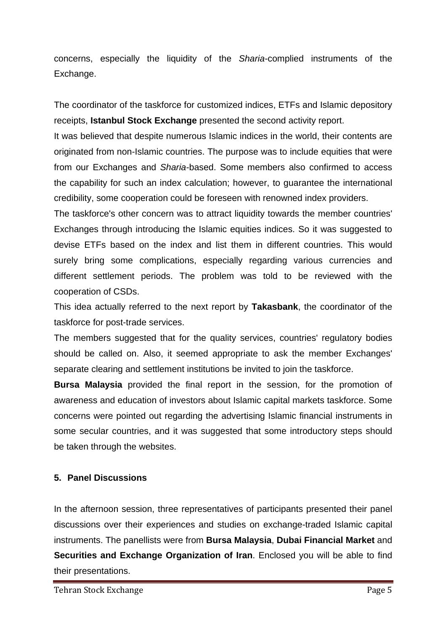concerns, especially the liquidity of the *Sharia*-complied instruments of the Exchange.

The coordinator of the taskforce for customized indices, ETFs and Islamic depository receipts, **Istanbul Stock Exchange** presented the second activity report.

It was believed that despite numerous Islamic indices in the world, their contents are originated from non-Islamic countries. The purpose was to include equities that were from our Exchanges and *Sharia*-based. Some members also confirmed to access the capability for such an index calculation; however, to guarantee the international credibility, some cooperation could be foreseen with renowned index providers.

The taskforce's other concern was to attract liquidity towards the member countries' Exchanges through introducing the Islamic equities indices. So it was suggested to devise ETFs based on the index and list them in different countries. This would surely bring some complications, especially regarding various currencies and different settlement periods. The problem was told to be reviewed with the cooperation of CSDs.

This idea actually referred to the next report by **Takasbank**, the coordinator of the taskforce for post-trade services.

The members suggested that for the quality services, countries' regulatory bodies should be called on. Also, it seemed appropriate to ask the member Exchanges' separate clearing and settlement institutions be invited to join the taskforce.

**Bursa Malaysia** provided the final report in the session, for the promotion of awareness and education of investors about Islamic capital markets taskforce. Some concerns were pointed out regarding the advertising Islamic financial instruments in some secular countries, and it was suggested that some introductory steps should be taken through the websites.

### **5. Panel Discussions**

In the afternoon session, three representatives of participants presented their panel discussions over their experiences and studies on exchange-traded Islamic capital instruments. The panellists were from **Bursa Malaysia**, **Dubai Financial Market** and **Securities and Exchange Organization of Iran**. Enclosed you will be able to find their presentations.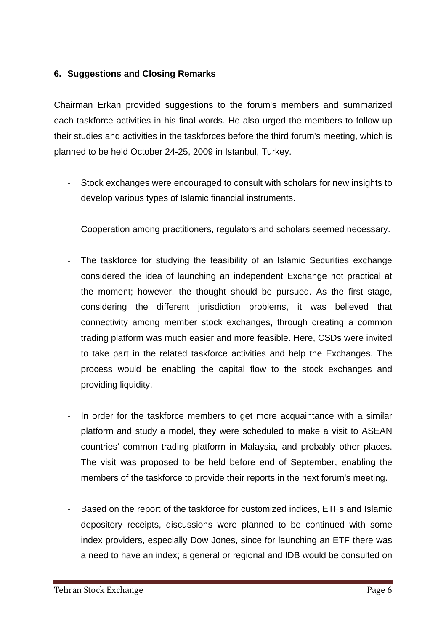### **6. Suggestions and Closing Remarks**

Chairman Erkan provided suggestions to the forum's members and summarized each taskforce activities in his final words. He also urged the members to follow up their studies and activities in the taskforces before the third forum's meeting, which is planned to be held October 24-25, 2009 in Istanbul, Turkey.

- Stock exchanges were encouraged to consult with scholars for new insights to develop various types of Islamic financial instruments.
- Cooperation among practitioners, regulators and scholars seemed necessary.
- The taskforce for studying the feasibility of an Islamic Securities exchange considered the idea of launching an independent Exchange not practical at the moment; however, the thought should be pursued. As the first stage, considering the different jurisdiction problems, it was believed that connectivity among member stock exchanges, through creating a common trading platform was much easier and more feasible. Here, CSDs were invited to take part in the related taskforce activities and help the Exchanges. The process would be enabling the capital flow to the stock exchanges and providing liquidity.
- In order for the taskforce members to get more acquaintance with a similar platform and study a model, they were scheduled to make a visit to ASEAN countries' common trading platform in Malaysia, and probably other places. The visit was proposed to be held before end of September, enabling the members of the taskforce to provide their reports in the next forum's meeting.
- Based on the report of the taskforce for customized indices, ETFs and Islamic depository receipts, discussions were planned to be continued with some index providers, especially Dow Jones, since for launching an ETF there was a need to have an index; a general or regional and IDB would be consulted on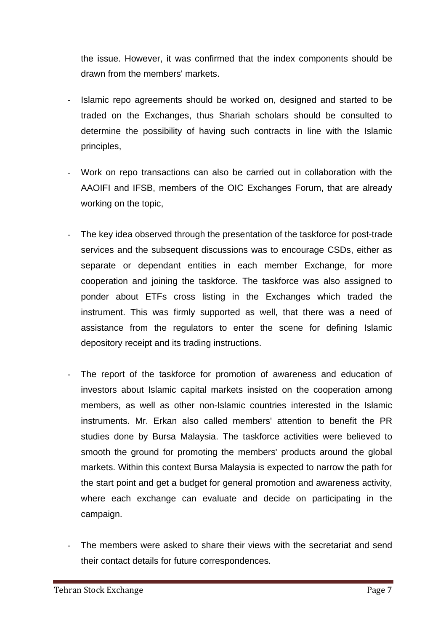the issue. However, it was confirmed that the index components should be drawn from the members' markets.

- Islamic repo agreements should be worked on, designed and started to be traded on the Exchanges, thus Shariah scholars should be consulted to determine the possibility of having such contracts in line with the Islamic principles,
- Work on repo transactions can also be carried out in collaboration with the AAOIFI and IFSB, members of the OIC Exchanges Forum, that are already working on the topic,
- The key idea observed through the presentation of the taskforce for post-trade services and the subsequent discussions was to encourage CSDs, either as separate or dependant entities in each member Exchange, for more cooperation and joining the taskforce. The taskforce was also assigned to ponder about ETFs cross listing in the Exchanges which traded the instrument. This was firmly supported as well, that there was a need of assistance from the regulators to enter the scene for defining Islamic depository receipt and its trading instructions.
	- The report of the taskforce for promotion of awareness and education of investors about Islamic capital markets insisted on the cooperation among members, as well as other non-Islamic countries interested in the Islamic instruments. Mr. Erkan also called members' attention to benefit the PR studies done by Bursa Malaysia. The taskforce activities were believed to smooth the ground for promoting the members' products around the global markets. Within this context Bursa Malaysia is expected to narrow the path for the start point and get a budget for general promotion and awareness activity, where each exchange can evaluate and decide on participating in the campaign.
- The members were asked to share their views with the secretariat and send their contact details for future correspondences.